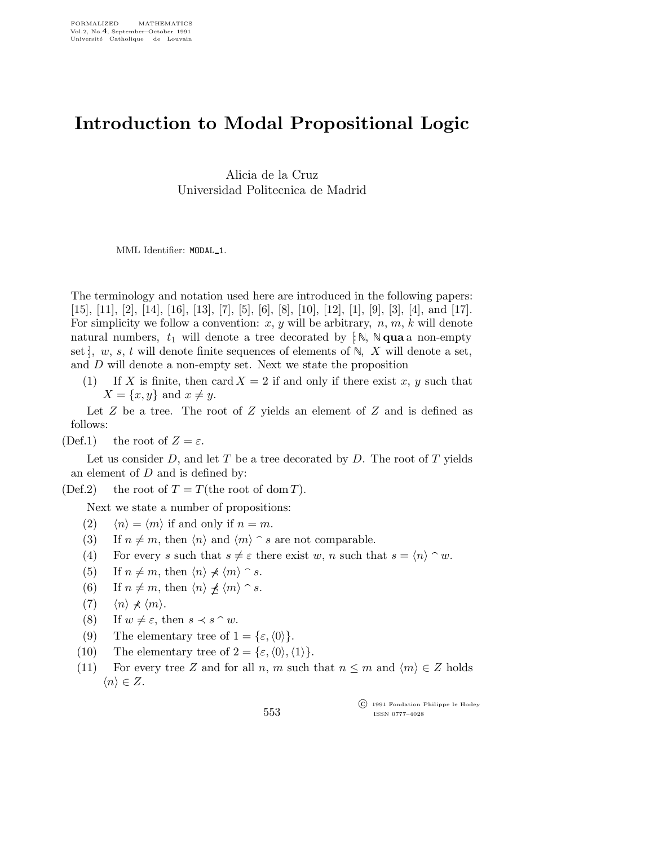## Introduction to Modal Propositional Logic

Alicia de la Cruz Universidad Politecnica de Madrid

MML Identifier: MODAL\_1.

The terminology and notation used here are introduced in the following papers: [15], [11], [2], [14], [16], [13], [7], [5], [6], [8], [10], [12], [1], [9], [3], [4], and [17]. For simplicity we follow a convention:  $x, y$  will be arbitrary,  $n, m, k$  will denote natural numbers,  $t_1$  will denote a tree decorated by  $\lbrack \cdot \rbrack$ ,  $\mathbb{N}$  **qua** a non-empty set  $\vert$ , w, s, t will denote finite sequences of elements of  $\mathbb{N}$ , X will denote a set, and D will denote a non-empty set. Next we state the proposition

(1) If X is finite, then card  $X = 2$  if and only if there exist x, y such that  $X = \{x, y\}$  and  $x \neq y$ .

Let  $Z$  be a tree. The root of  $Z$  yields an element of  $Z$  and is defined as follows:

(Def.1) the root of  $Z = \varepsilon$ .

Let us consider D, and let T be a tree decorated by D. The root of T yields an element of  $D$  and is defined by:

(Def.2) the root of  $T = T$ (the root of dom T).

Next we state a number of propositions:

- (2)  $\langle n \rangle = \langle m \rangle$  if and only if  $n = m$ .
- (3) If  $n \neq m$ , then  $\langle n \rangle$  and  $\langle m \rangle \cap s$  are not comparable.
- (4) For every s such that  $s \neq \varepsilon$  there exist w, n such that  $s = \langle n \rangle \cap w$ .
- (5) If  $n \neq m$ , then  $\langle n \rangle \nless \langle m \rangle \cap s$ .
- (6) If  $n \neq m$ , then  $\langle n \rangle \not\prec \langle m \rangle \cap s$ .
- $(7)$   $\langle n \rangle \neq \langle m \rangle$ .
- (8) If  $w \neq \varepsilon$ , then  $s \prec s \cap w$ .
- (9) The elementary tree of  $1 = {\varepsilon, \langle 0 \rangle}.$
- (10) The elementary tree of  $2 = {\epsilon, \langle 0 \rangle, \langle 1 \rangle}.$
- (11) For every tree Z and for all n, m such that  $n \leq m$  and  $\langle m \rangle \in Z$  holds  $\langle n \rangle \in Z$ .

 c 1991 Fondation Philippe le Hodey ISSN 0777–4028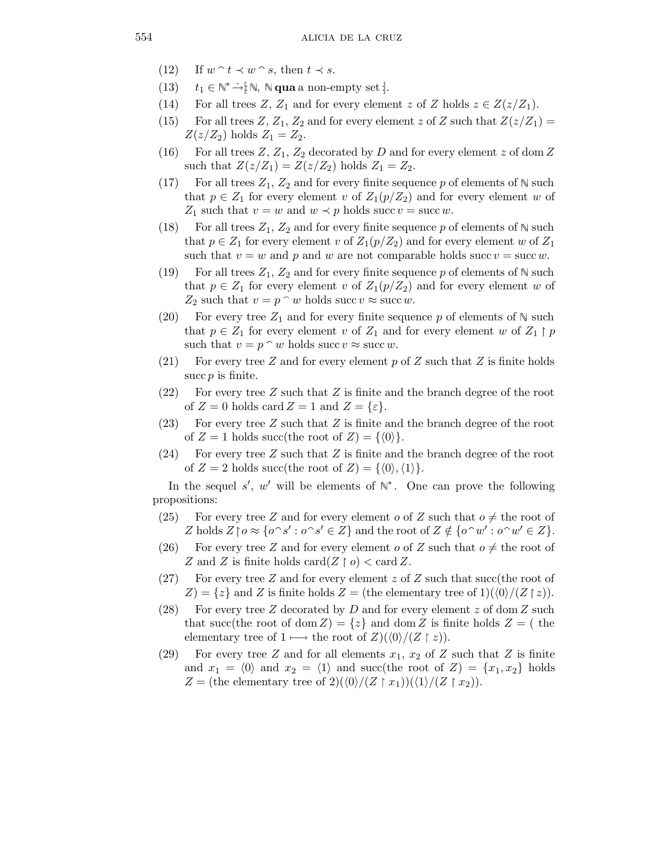- (12) If  $w \nightharpoonup t \prec w \nightharpoonup s$ , then  $t \prec s$ .
- (13)  $t_1 \in \mathbb{N}^* \rightarrow \in \mathbb{N}, \ \mathbb{N}$  qua a non-empty set :..
- (14) For all trees Z,  $Z_1$  and for every element z of Z holds  $z \in Z(z/Z_1)$ .
- (15) For all trees  $Z, Z_1, Z_2$  and for every element z of Z such that  $Z(z/Z_1)$  =  $Z(z/Z_2)$  holds  $Z_1 = Z_2$ .
- (16) For all trees  $Z, Z_1, Z_2$  decorated by D and for every element z of dom Z such that  $Z(z/Z_1) = Z(z/Z_2)$  holds  $Z_1 = Z_2$ .
- (17) For all trees  $Z_1, Z_2$  and for every finite sequence p of elements of  $\mathbb N$  such that  $p \in Z_1$  for every element v of  $Z_1(p/Z_2)$  and for every element w of  $Z_1$  such that  $v = w$  and  $w \prec p$  holds succ  $v = \text{succ } w$ .
- (18) For all trees  $Z_1, Z_2$  and for every finite sequence p of elements of  $\mathbb N$  such that  $p \in Z_1$  for every element v of  $Z_1(p/Z_2)$  and for every element w of  $Z_1$ such that  $v = w$  and  $p$  and  $w$  are not comparable holds succ  $v = \text{succ } w$ .
- (19) For all trees  $Z_1, Z_2$  and for every finite sequence p of elements of  $\mathbb N$  such that  $p \in Z_1$  for every element v of  $Z_1(p/Z_2)$  and for every element w of  $Z_2$  such that  $v = p \n\hat{ } \nabla w$  holds succ  $v \approx \text{succ } w$ .
- (20) For every tree  $Z_1$  and for every finite sequence p of elements of  $\mathbb N$  such that  $p \in Z_1$  for every element v of  $Z_1$  and for every element w of  $Z_1 \upharpoonright p$ such that  $v = p \cap w$  holds succ  $v \approx \text{succ } w$ .
- (21) For every tree Z and for every element p of Z such that Z is finite holds succ  $p$  is finite.
- $(22)$  For every tree Z such that Z is finite and the branch degree of the root of  $Z = 0$  holds card  $Z = 1$  and  $Z = {\epsilon}.$
- $(23)$  For every tree Z such that Z is finite and the branch degree of the root of  $Z = 1$  holds succ(the root of  $Z = \{0\}$ .
- $(24)$  For every tree Z such that Z is finite and the branch degree of the root of  $Z = 2$  holds succ(the root of  $Z = \{ \langle 0 \rangle, \langle 1 \rangle \}.$

In the sequel s', w' will be elements of  $\mathbb{N}^*$ . One can prove the following propositions:

- (25) For every tree Z and for every element o of Z such that  $o \neq$  the root of Z holds  $Z \restriction o \approx \{o \cap s' : o \cap s' \in Z\}$  and the root of  $Z \notin \{o \cap w' : o \cap w' \in Z\}$ .
- (26) For every tree Z and for every element o of Z such that  $o \neq$  the root of Z and Z is finite holds  $\text{card}(Z \restriction o) < \text{card } Z$ .
- (27) For every tree Z and for every element z of Z such that succ(the root of  $Z$ ) = { $z$ } and Z is finite holds  $Z =$  (the elementary tree of 1)( $\langle 0 \rangle / (Z \upharpoonright z)$ ).
- (28) For every tree Z decorated by D and for every element z of dom Z such that succ(the root of dom  $Z = \{z\}$  and dom Z is finite holds  $Z = ($  the elementary tree of 1  $\longmapsto$  the root of  $Z$ )( $\langle 0 \rangle$ /(Z | z)).
- (29) For every tree Z and for all elements  $x_1, x_2$  of Z such that Z is finite and  $x_1 = \langle 0 \rangle$  and  $x_2 = \langle 1 \rangle$  and succ(the root of  $Z$ ) =  $\{x_1, x_2\}$  holds  $Z = (\text{the elementary tree of 2})(\langle 0 \rangle / (Z \upharpoonright x_1))(\langle 1 \rangle / (Z \upharpoonright x_2)).$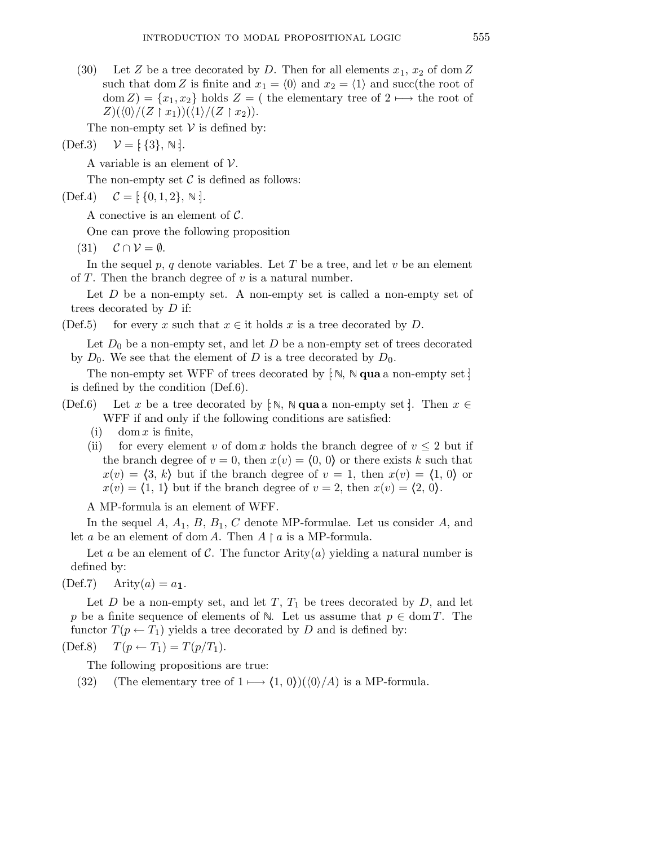(30) Let Z be a tree decorated by D. Then for all elements  $x_1, x_2$  of dom Z such that dom Z is finite and  $x_1 = \langle 0 \rangle$  and  $x_2 = \langle 1 \rangle$  and succ(the root of dom  $Z$ ) = { $x_1, x_2$ } holds  $Z$  = ( the elementary tree of 2  $\longmapsto$  the root of  $Z$ )( $\langle 0 \rangle/(Z \upharpoonright x_1)$ )( $\langle 1 \rangle/(Z \upharpoonright x_2)$ ).

The non-empty set  $V$  is defined by:

$$
(\text{Def.3}) \quad \mathcal{V} = [\{\,3\}, \mathbb{N} \,].
$$

A variable is an element of  $\mathcal V$ .

The non-empty set  $\mathcal C$  is defined as follows:

 $(\text{Def.4}) \quad \mathcal{C} = [\{0, 1, 2\}, \mathbb{N}].$ 

A conective is an element of C.

One can prove the following proposition

 $(31)$   $\mathcal{C} \cap \mathcal{V} = \emptyset$ .

In the sequel  $p, q$  denote variables. Let T be a tree, and let v be an element of T. Then the branch degree of  $v$  is a natural number.

Let  $D$  be a non-empty set. A non-empty set is called a non-empty set of trees decorated by D if:

(Def.5) for every x such that  $x \in \text{it holds } x$  is a tree decorated by D.

Let  $D_0$  be a non-empty set, and let D be a non-empty set of trees decorated by  $D_0$ . We see that the element of D is a tree decorated by  $D_0$ .

The non-empty set WFF of trees decorated by  $\lbrack \mathbb{N}, \mathbb{N} \right]$  qua a non-empty set  $\lbrack \cdot \rbrack$ is defined by the condition (Def.6).

- (Def.6) Let x be a tree decorated by [ $\mathbb{N}, \mathbb{N}$  qua a non-empty set ]. Then  $x \in \mathbb{N}$ WFF if and only if the following conditions are satisfied:
	- (i) dom x is finite,
	- (ii) for every element v of dom x holds the branch degree of  $v \leq 2$  but if the branch degree of  $v = 0$ , then  $x(v) = (0, 0)$  or there exists k such that  $x(v) = \langle 3, k \rangle$  but if the branch degree of  $v = 1$ , then  $x(v) = \langle 1, 0 \rangle$  or  $x(v) = \langle 1, 1 \rangle$  but if the branch degree of  $v = 2$ , then  $x(v) = \langle 2, 0 \rangle$ .

A MP-formula is an element of WFF.

In the sequel  $A$ ,  $A_1$ ,  $B$ ,  $B_1$ ,  $C$  denote MP-formulae. Let us consider  $A$ , and let a be an element of dom A. Then  $A \upharpoonright a$  is a MP-formula.

Let a be an element of C. The functor  $\text{Arity}(a)$  yielding a natural number is defined by:

 $(Def.7)$  Arity $(a) = a_1$ .

Let  $D$  be a non-empty set, and let  $T$ ,  $T_1$  be trees decorated by  $D$ , and let p be a finite sequence of elements of  $\mathbb N$ . Let us assume that  $p \in \text{dom } T$ . The functor  $T(p \leftarrow T_1)$  yields a tree decorated by D and is defined by:

$$
(Def.8) \tT(p \leftarrow T_1) = T(p/T_1).
$$

The following propositions are true:

(32) (The elementary tree of  $1 \longmapsto \langle 1, 0 \rangle$ )( $\langle 0 \rangle / A$ ) is a MP-formula.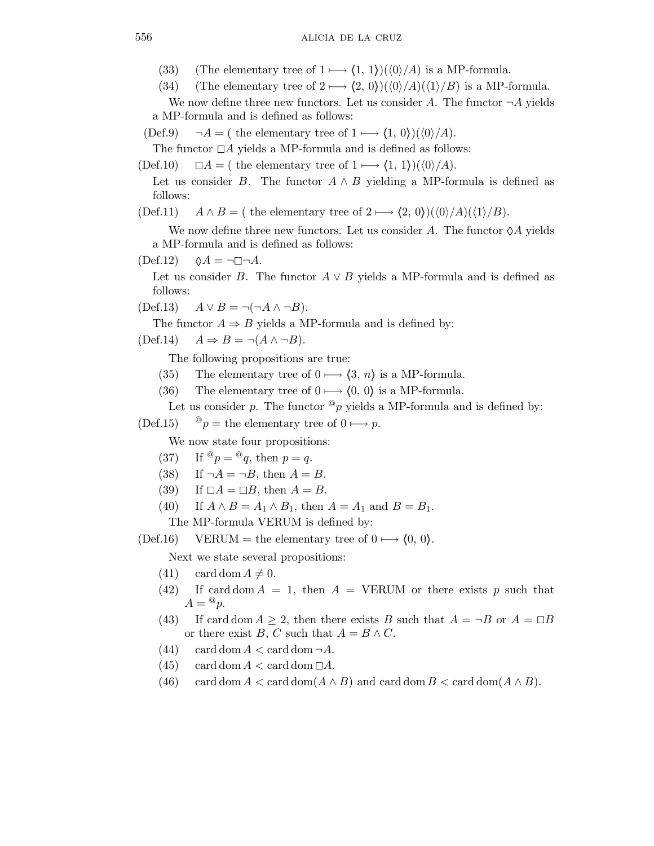- (33) (The elementary tree of  $1 \longmapsto \langle 1, 1 \rangle$ )( $\langle 0 \rangle / A$ ) is a MP-formula.
- (34) (The elementary tree of  $2 \rightarrow (2, 0)$ )( $\langle 0 \rangle /A$ )( $\langle 1 \rangle /B$ ) is a MP-formula.

We now define three new functors. Let us consider A. The functor  $\neg A$  yields a MP-formula and is defined as follows:

 $(\text{Def.9}) \quad \neg A = (\text{ the elementary tree of } 1 \longmapsto \langle 1, 0 \rangle)(\langle 0 \rangle / A).$ 

The functor  $\Box A$  yields a MP-formula and is defined as follows:

 $(\text{Def.10}) \quad \Box A = (\text{ the elementary tree of } 1 \longmapsto \langle 1, 1 \rangle)(\langle 0 \rangle / A).$ 

Let us consider B. The functor  $A \wedge B$  yielding a MP-formula is defined as follows:

(Def.11)  $A \wedge B = (\text{ the elementary tree of } 2 \longmapsto \langle 2, 0 \rangle)(\langle 0 \rangle/A)(\langle 1 \rangle/B).$ 

We now define three new functors. Let us consider A. The functor  $\Diamond A$  yields a MP-formula and is defined as follows:

 $(\text{Def.12}) \quad \Diamond A = \neg \Box \neg A.$ 

Let us consider B. The functor  $A \vee B$  yields a MP-formula and is defined as follows:

 $(Def.13)$   $A \vee B = \neg(\neg A \wedge \neg B).$ 

The functor  $A \Rightarrow B$  yields a MP-formula and is defined by:

 $(\text{Def.14}) \quad A \Rightarrow B = \neg(A \land \neg B).$ 

The following propositions are true:

- (35) The elementary tree of  $0 \rightarrow \langle 3, n \rangle$  is a MP-formula.
- (36) The elementary tree of  $0 \rightarrow \langle 0, 0 \rangle$  is a MP-formula.

Let us consider p. The functor  $^@p$  yields a MP-formula and is defined by:

(Def.15)  $^{\circ}$   $^{\circ}$  p = the elementary tree of 0  $\longmapsto$  p.

We now state four propositions:

- (37) If  $^{\circledR}p = ^{\circledR}q$ , then  $p = q$ .
- (38) If  $\neg A = \neg B$ , then  $A = B$ .
- (39) If  $\Box A = \Box B$ , then  $A = B$ .
- (40) If  $A \wedge B = A_1 \wedge B_1$ , then  $A = A_1$  and  $B = B_1$ .

The MP-formula VERUM is defined by:

(Def.16) VERUM = the elementary tree of  $0 \rightarrow \langle 0, 0 \rangle$ .

Next we state several propositions:

- $(41)$  card dom  $A \neq 0$ .
- (42) If card dom  $A = 1$ , then  $A = VERUM$  or there exists p such that  $A = \mathcal{Q}_p$ .
- (43) If card dom  $A \geq 2$ , then there exists B such that  $A = \neg B$  or  $A = \Box B$ or there exist B, C such that  $A = B \wedge C$ .
- $(44)$  card dom  $A <$  card dom  $\neg A$ .
- $(45)$  card dom  $A <$  card dom  $\Box A$ .
- (46) card dom  $A < \text{card dom}(A \wedge B)$  and card dom  $B < \text{card dom}(A \wedge B)$ .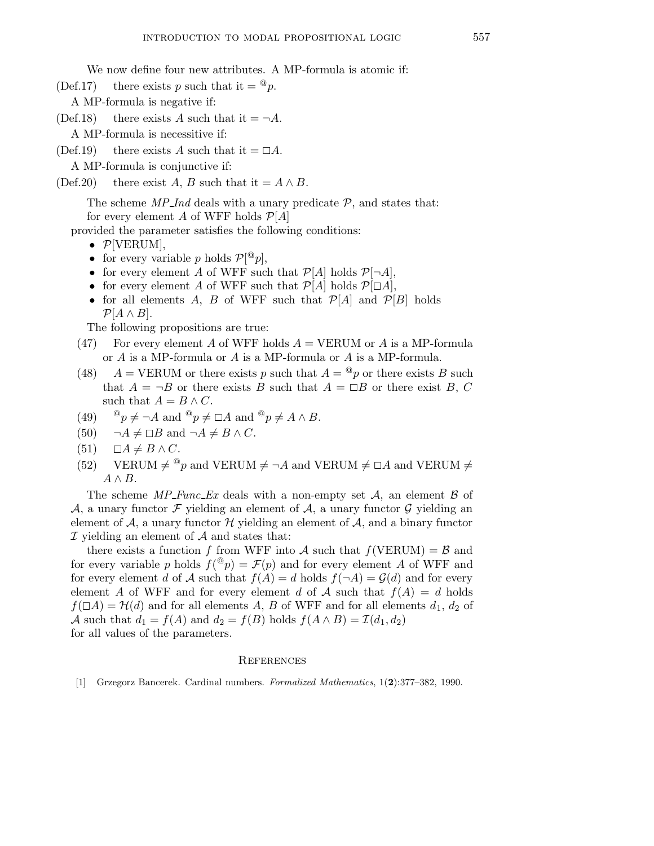We now define four new attributes. A MP-formula is atomic if:

(Def.17) there exists p such that it  $=$   $\mathbb{Q}_p$ .

- A MP-formula is negative if:
- (Def.18) there exists A such that it  $= \neg A$ .

A MP-formula is necessitive if:

(Def.19) there exists A such that it  $=\Box A$ .

A MP-formula is conjunctive if:

```
(Def.20) there exist A, B such that it = A \wedge B.
```
The scheme  $MP\_Ind$  deals with a unary predicate  $P$ , and states that: for every element A of WFF holds  $\mathcal{P}[A]$ 

provided the parameter satisfies the following conditions:

- $\mathcal{P}[\text{VERUM}]$ ,
- for every variable p holds  $\mathcal{P}[^@p],$
- for every element A of WFF such that  $\mathcal{P}[A]$  holds  $\mathcal{P}[\neg A]$ ,
- for every element A of WFF such that  $\mathcal{P}[A]$  holds  $\mathcal{P}[\Box A]$ ,
- for all elements A, B of WFF such that  $\mathcal{P}[A]$  and  $\mathcal{P}[B]$  holds  $\mathcal{P}[A \wedge B].$

The following propositions are true:

- (47) For every element A of WFF holds  $A = VERUM$  or A is a MP-formula or A is a MP-formula or A is a MP-formula or A is a MP-formula.
- (48)  $A = VERUM$  or there exists p such that  $A = \mathbb{Q}_p$  or there exists B such that  $A = \neg B$  or there exists B such that  $A = \Box B$  or there exist B, C such that  $A = B \wedge C$ .
- (49)  $\mathbb{P}p \neq \neg A$  and  $\mathbb{P}p \neq \Box A$  and  $\mathbb{P}p \neq A \wedge B$ .
- (50)  $\neg A \neq \Box B$  and  $\neg A \neq B \land C$ .
- $(51)$   $\Box A \neq B \land C$ .
- (52) VERUM  $\neq {}^{\circledcirc}p$  and VERUM  $\neq \neg A$  and VERUM  $\neq \Box A$  and VERUM  $\neq$  $A \wedge B$ .

The scheme  $MP\_{Func\_Ex}$  deals with a non-empty set A, an element B of A, a unary functor F yielding an element of A, a unary functor G yielding an element of  $A$ , a unary functor  $H$  yielding an element of  $A$ , and a binary functor  $I$  yielding an element of  $A$  and states that:

there exists a function f from WFF into A such that  $f(VERUM) = B$  and for every variable p holds  $f({}^@p) = \mathcal{F}(p)$  and for every element A of WFF and for every element d of A such that  $f(A) = d$  holds  $f(\neg A) = \mathcal{G}(d)$  and for every element A of WFF and for every element d of A such that  $f(A) = d$  holds  $f(\Box A) = \mathcal{H}(d)$  and for all elements A, B of WFF and for all elements  $d_1, d_2$  of A such that  $d_1 = f(A)$  and  $d_2 = f(B)$  holds  $f(A \wedge B) = \mathcal{I}(d_1, d_2)$ for all values of the parameters.

## **REFERENCES**

[1] Grzegorz Bancerek. Cardinal numbers. Formalized Mathematics, 1(2):377–382, 1990.